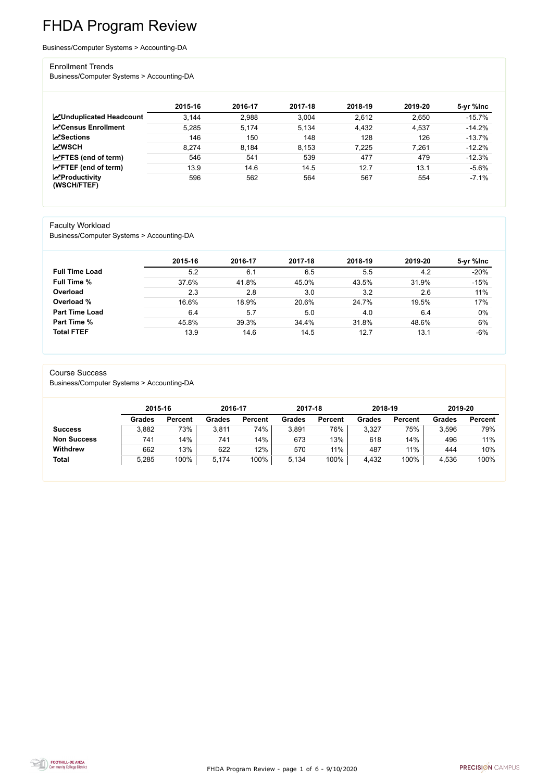FHDA Program Review - page 1 of 6 - 9/10/2020



# FHDA Program Review

Business/Computer Systems > Accounting-DA

#### Enrollment Trends

Business/Computer Systems > Accounting-DA

|                                                  | 2015-16 | 2016-17 | 2017-18 | 2018-19 | 2019-20 | 5-yr %lnc |
|--------------------------------------------------|---------|---------|---------|---------|---------|-----------|
| <b>ZUnduplicated Headcount</b>                   | 3,144   | 2,988   | 3,004   | 2,612   | 2,650   | $-15.7%$  |
| <b>∠</b> Census Enrollment                       | 5,285   | 5.174   | 5,134   | 4,432   | 4,537   | $-14.2%$  |
| <b>ZSections</b>                                 | 146     | 150     | 148     | 128     | 126     | $-13.7%$  |
| <b>MWSCH</b>                                     | 8,274   | 8,184   | 8,153   | 7,225   | 7,261   | $-12.2%$  |
| $\angle$ FTES (end of term)                      | 546     | 541     | 539     | 477     | 479     | $-12.3%$  |
| $\angle$ FTEF (end of term)                      | 13.9    | 14.6    | 14.5    | 12.7    | 13.1    | $-5.6%$   |
| $\sqrt{\frac{1}{2}}$ Productivity<br>(WSCH/FTEF) | 596     | 562     | 564     | 567     | 554     | $-7.1%$   |

#### Faculty Workload

Business/Computer Systems > Accounting-DA

|                       | 2015-16 | 2016-17 | 2017-18 | 2018-19 | 2019-20 | 5-yr %lnc |
|-----------------------|---------|---------|---------|---------|---------|-----------|
| <b>Full Time Load</b> | 5.2     | 6.1     | 6.5     | 5.5     | 4.2     | $-20%$    |
| <b>Full Time %</b>    | 37.6%   | 41.8%   | 45.0%   | 43.5%   | 31.9%   | $-15%$    |
| Overload              | 2.3     | 2.8     | 3.0     | 3.2     | 2.6     | 11%       |
| Overload %            | 16.6%   | 18.9%   | 20.6%   | 24.7%   | 19.5%   | 17%       |
| <b>Part Time Load</b> | 6.4     | 5.7     | 5.0     | 4.0     | 6.4     | $0\%$     |
| <b>Part Time %</b>    | 45.8%   | 39.3%   | 34.4%   | 31.8%   | 48.6%   | 6%        |
| <b>Total FTEF</b>     | 13.9    | 14.6    | 14.5    | 12.7    | 13.1    | $-6%$     |

#### Course Success

Business/Computer Systems > Accounting-DA

|                    | 2015-16       |                | 2016-17 |                | 2017-18 |                | 2018-19       |                | 2019-20       |                |
|--------------------|---------------|----------------|---------|----------------|---------|----------------|---------------|----------------|---------------|----------------|
|                    | <b>Grades</b> | <b>Percent</b> | Grades  | <b>Percent</b> | Grades  | <b>Percent</b> | <b>Grades</b> | <b>Percent</b> | <b>Grades</b> | <b>Percent</b> |
| <b>Success</b>     | 3,882         | 73%            | 3,811   | 74%            | 3,891   | 76%            | 3,327         | 75%            | 3,596         | 79%            |
| <b>Non Success</b> | 741           | 14%            | 741     | 14%            | 673     | 13%            | 618           | 14%            | 496           | 11%            |
| <b>Withdrew</b>    | 662           | 13%            | 622     | 12%            | 570     | 11%            | 487           | 11%            | 444           | 10%            |
| <b>Total</b>       | 5,285         | 100%           | 5,174   | 100%           | 5,134   | 100%           | 4,432         | 100%           | 4,536         | 100%           |

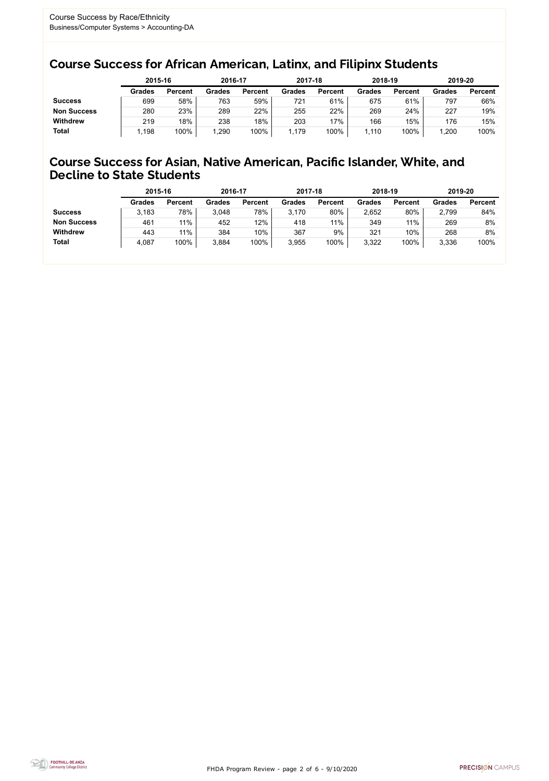FHDA Program Review - page 2 of 6 - 9/10/2020



### Course Success for African American, Latinx, and Filipinx Students

### Course Success for Asian, Native American, Pacific Islander, White, and Decline to State Students

|                    |               | 2015-16        |               | 2016-17        |               | 2017-18        | 2018-19       |                | 2019-20       |                |
|--------------------|---------------|----------------|---------------|----------------|---------------|----------------|---------------|----------------|---------------|----------------|
|                    | <b>Grades</b> | <b>Percent</b> | <b>Grades</b> | <b>Percent</b> | <b>Grades</b> | <b>Percent</b> | <b>Grades</b> | <b>Percent</b> | <b>Grades</b> | <b>Percent</b> |
| <b>Success</b>     | 699           | 58%            | 763           | 59%            | 721           | 61%            | 675           | 61%            | 797           | 66%            |
| <b>Non Success</b> | 280           | 23%            | 289           | 22%            | 255           | 22%            | 269           | 24%            | 227           | 19%            |
| <b>Withdrew</b>    | 219           | 18%            | 238           | 18%            | 203           | $17\%$         | 166           | 15%            | 176           | 15%            |
| <b>Total</b>       | ,198          | 100%           | ,290          | 100%           | 1.179         | 100%           | ,110          | 100%           | ,200          | 100%           |

|                    | 2015-16       |                | 2016-17       |                | 2017-18       |                | 2018-19       |                | 2019-20       |                |
|--------------------|---------------|----------------|---------------|----------------|---------------|----------------|---------------|----------------|---------------|----------------|
|                    | <b>Grades</b> | <b>Percent</b> | <b>Grades</b> | <b>Percent</b> | <b>Grades</b> | <b>Percent</b> | <b>Grades</b> | <b>Percent</b> | <b>Grades</b> | <b>Percent</b> |
| <b>Success</b>     | 3,183         | 78%            | 3,048         | 78%            | 3,170         | 80%            | 2,652         | 80%            | 2,799         | 84%            |
| <b>Non Success</b> | 461           | 11%            | 452           | 12%            | 418           | 11%            | 349           | 11%            | 269           | 8%             |
| <b>Withdrew</b>    | 443           | 11%            | 384           | 10%            | 367           | 9%             | 321           | 10%            | 268           | 8%             |
| <b>Total</b>       | 4,087         | 100%           | 3,884         | 100%           | 3,955         | 100%           | 3,322         | 100%           | 3,336         | 100%           |
|                    |               |                |               |                |               |                |               |                |               |                |

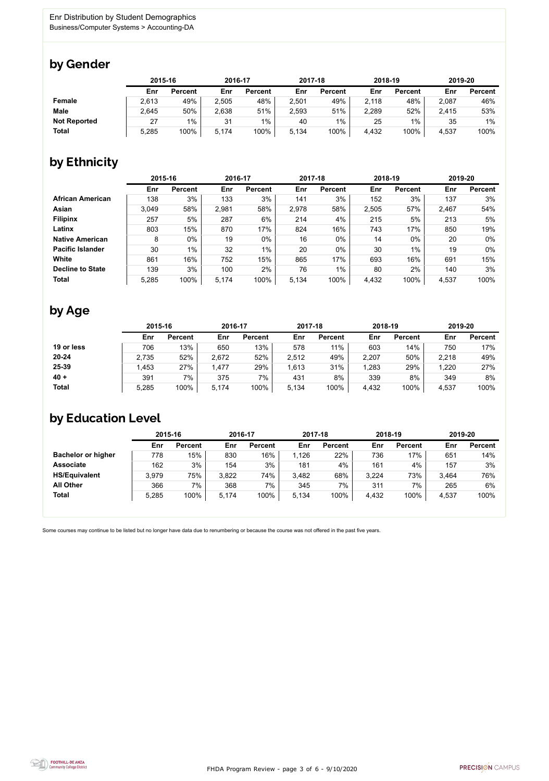

Some courses may continue to be listed but no longer have data due to renumbering or because the course was not offered in the past five years.



### by Gender

|                     |       | 2015-16        |       | 2016-17        |       | 2017-18        |       | 2018-19        | 2019-20 |                |
|---------------------|-------|----------------|-------|----------------|-------|----------------|-------|----------------|---------|----------------|
|                     | Enr   | <b>Percent</b> | Enr   | <b>Percent</b> | Enr   | <b>Percent</b> | Enr   | <b>Percent</b> | Enr     | <b>Percent</b> |
| <b>Female</b>       | 2,613 | 49%            | 2,505 | 48%            | 2,501 | 49%            | 2,118 | 48%            | 2,087   | 46%            |
| <b>Male</b>         | 2,645 | 50%            | 2,638 | 51%            | 2,593 | 51%            | 2,289 | 52%            | 2,415   | 53%            |
| <b>Not Reported</b> | 27    | $1\%$          | 31    | $1\%$          | 40    | 1%             | 25    | 1%             | 35      | 1%             |
| <b>Total</b>        | 5,285 | 100%           | 5,174 | 100%           | 5,134 | 100%           | 4,432 | 100%           | 4,537   | 100%           |

### by Ethnicity

|                         | 2015-16 |                | 2016-17 |                | 2017-18 |                | 2018-19 |                | 2019-20 |                |
|-------------------------|---------|----------------|---------|----------------|---------|----------------|---------|----------------|---------|----------------|
|                         | Enr     | <b>Percent</b> | Enr     | <b>Percent</b> | Enr     | <b>Percent</b> | Enr     | <b>Percent</b> | Enr     | <b>Percent</b> |
| <b>African American</b> | 138     | 3%             | 133     | 3%             | 141     | 3%             | 152     | 3%             | 137     | 3%             |
| <b>Asian</b>            | 3,049   | 58%            | 2,981   | 58%            | 2,978   | 58%            | 2,505   | 57%            | 2,467   | 54%            |
| <b>Filipinx</b>         | 257     | 5%             | 287     | 6%             | 214     | 4%             | 215     | 5%             | 213     | 5%             |
| Latinx                  | 803     | 15%            | 870     | 17%            | 824     | 16%            | 743     | 17%            | 850     | 19%            |
| <b>Native American</b>  | 8       | $0\%$          | 19      | $0\%$          | 16      | $0\%$          | 14      | $0\%$          | 20      | $0\%$          |
| <b>Pacific Islander</b> | 30      | $1\%$          | 32      | $1\%$          | 20      | $0\%$          | 30      | $1\%$          | 19      | $0\%$          |
| White                   | 861     | 16%            | 752     | 15%            | 865     | 17%            | 693     | 16%            | 691     | 15%            |
| <b>Decline to State</b> | 139     | 3%             | 100     | 2%             | 76      | $1\%$          | 80      | 2%             | 140     | 3%             |
| <b>Total</b>            | 5,285   | 100%           | 5,174   | 100%           | 5,134   | 100%           | 4,432   | 100%           | 4,537   | 100%           |

### by Age

|              |       | 2015-16        |       | 2016-17        |       | 2017-18        | 2018-19 |                | 2019-20 |                |
|--------------|-------|----------------|-------|----------------|-------|----------------|---------|----------------|---------|----------------|
|              | Enr   | <b>Percent</b> | Enr   | <b>Percent</b> | Enr   | <b>Percent</b> | Enr     | <b>Percent</b> | Enr     | <b>Percent</b> |
| 19 or less   | 706   | 13%            | 650   | 13%            | 578   | 11%            | 603     | 14%            | 750     | 17%            |
| $20 - 24$    | 2,735 | 52%            | 2,672 | 52%            | 2,512 | 49%            | 2,207   | 50%            | 2,218   | 49%            |
| 25-39        | ,453  | 27%            | 1,477 | 29%            | 1,613 | 31%            | ,283    | 29%            | 1,220   | 27%            |
| $40 +$       | 391   | 7%             | 375   | 7%             | 431   | 8%             | 339     | 8%             | 349     | 8%             |
| <b>Total</b> | 5,285 | 100%           | 5.174 | 100%           | 5,134 | 100%           | 4,432   | 100%           | 4,537   | 100%           |

## by Education Level

|                           | 2015-16 |                |       | 2016-17        |       | 2017-18        | 2018-19 |                | 2019-20 |                |
|---------------------------|---------|----------------|-------|----------------|-------|----------------|---------|----------------|---------|----------------|
|                           | Enr     | <b>Percent</b> | Enr   | <b>Percent</b> | Enr   | <b>Percent</b> | Enr     | <b>Percent</b> | Enr     | <b>Percent</b> |
| <b>Bachelor or higher</b> | 778     | 15%            | 830   | 16%            | ,126  | 22%            | 736     | 17%            | 651     | 14%            |
| <b>Associate</b>          | 162     | 3%             | 154   | 3%             | 181   | 4%             | 161     | 4%             | 157     | 3%             |
| <b>HS/Equivalent</b>      | 3,979   | 75%            | 3,822 | 74%            | 3,482 | 68%            | 3,224   | 73%            | 3,464   | 76%            |
| <b>All Other</b>          | 366     | 7%             | 368   | 7%             | 345   | 7%             | 311     | 7%             | 265     | 6%             |
| <b>Total</b>              | 5,285   | 100%           | 5,174 | 100%           | 5,134 | 100%           | 4,432   | 100%           | 4,537   | 100%           |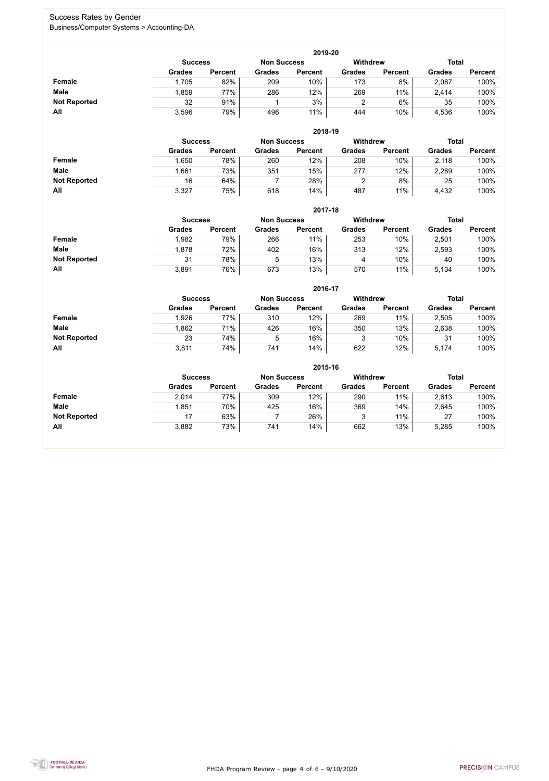FHDA Program Review - page 4 of 6 - 9/10/2020



### Success Rates by Gender Business/Computer Systems > Accounting-DA

|                     | 2019-20        |                 |               |                |               |                |               |                |  |  |  |  |  |
|---------------------|----------------|-----------------|---------------|----------------|---------------|----------------|---------------|----------------|--|--|--|--|--|
|                     | <b>Success</b> | <b>Withdrew</b> |               | <b>Total</b>   |               |                |               |                |  |  |  |  |  |
|                     | <b>Grades</b>  | <b>Percent</b>  | <b>Grades</b> | <b>Percent</b> | <b>Grades</b> | <b>Percent</b> | <b>Grades</b> | <b>Percent</b> |  |  |  |  |  |
| <b>Female</b>       | 1,705          | 82%             | 209           | 10%            | 173           | 8%             | 2,087         | 100%           |  |  |  |  |  |
| <b>Male</b>         | .859           | 77%             | 286           | 12%            | 269           | 11%            | 2,414         | 100%           |  |  |  |  |  |
| <b>Not Reported</b> | 32             | 91%             |               | 3%             |               | 6%             | 35            | 100%           |  |  |  |  |  |
| All                 | 3,596          | 79%             | 496           | 11%            | 444           | 10%            | 4,536         | 100%           |  |  |  |  |  |

|                     |               |                                      |               | 2018-19        |               |                |               |                |  |
|---------------------|---------------|--------------------------------------|---------------|----------------|---------------|----------------|---------------|----------------|--|
|                     |               | <b>Non Success</b><br><b>Success</b> |               |                |               |                | <b>Total</b>  |                |  |
|                     | <b>Grades</b> | <b>Percent</b>                       | <b>Grades</b> | <b>Percent</b> | <b>Grades</b> | <b>Percent</b> | <b>Grades</b> | <b>Percent</b> |  |
| Female              | 1,650         | 78%                                  | 260           | 12%            | 208           | 10%            | 2,118         | 100%           |  |
| <b>Male</b>         | .661          | 73%                                  | 351           | 15%            | 277           | 12%            | 2,289         | 100%           |  |
| <b>Not Reported</b> | 16            | 64%                                  |               | 28%            |               | 8%             | 25            | 100%           |  |
| All                 | 3,327         | 75%                                  | 618           | 14%            | 487           | 11%            | 4,432         | 100%           |  |

|                     |               | 2017-18                                                                 |               |                |               |                |               |                |  |  |  |  |  |
|---------------------|---------------|-------------------------------------------------------------------------|---------------|----------------|---------------|----------------|---------------|----------------|--|--|--|--|--|
|                     |               | <b>Withdrew</b><br><b>Total</b><br><b>Success</b><br><b>Non Success</b> |               |                |               |                |               |                |  |  |  |  |  |
|                     | <b>Grades</b> | <b>Percent</b>                                                          | <b>Grades</b> | <b>Percent</b> | <b>Grades</b> | <b>Percent</b> | <b>Grades</b> | <b>Percent</b> |  |  |  |  |  |
| <b>Female</b>       | 1,982         | 79%                                                                     | 266           | 11%            | 253           | 10%            | 2,501         | 100%           |  |  |  |  |  |
| <b>Male</b>         | 1,878         | 72%                                                                     | 402           | 16%            | 313           | 12%            | 2,593         | 100%           |  |  |  |  |  |
| <b>Not Reported</b> | 31            | 78%                                                                     | 5             | 13%            | 4             | 10%            | 40            | 100%           |  |  |  |  |  |
| All                 | 3,891         | 76%                                                                     | 673           | 13%            | 570           | 11%            | 5,134         | 100%           |  |  |  |  |  |

|                     |                | 2016-17        |                    |                |                 |                |               |                |  |  |
|---------------------|----------------|----------------|--------------------|----------------|-----------------|----------------|---------------|----------------|--|--|
|                     | <b>Success</b> |                | <b>Non Success</b> |                | <b>Withdrew</b> |                | <b>Total</b>  |                |  |  |
|                     | <b>Grades</b>  | <b>Percent</b> | <b>Grades</b>      | <b>Percent</b> | <b>Grades</b>   | <b>Percent</b> | <b>Grades</b> | <b>Percent</b> |  |  |
| Female              | 1,926          | 77%            | 310                | 12%            | 269             | 11%            | 2,505         | 100%           |  |  |
| <b>Male</b>         | 862.           | 71%            | 426                | 16%            | 350             | 13%            | 2,638         | 100%           |  |  |
| <b>Not Reported</b> | 23             | 74%            | 5                  | 16%            | ບ               | 10%            | 31            | 100%           |  |  |
| All                 | 3,811          | 74%            | 741                | 14%            | 622             | 12%            | 5,174         | 100%           |  |  |

|                     | 2015-16       |                                                  |               |                |               |                |               |                |  |
|---------------------|---------------|--------------------------------------------------|---------------|----------------|---------------|----------------|---------------|----------------|--|
|                     |               | Withdrew<br><b>Non Success</b><br><b>Success</b> |               |                |               |                |               | <b>Total</b>   |  |
|                     | <b>Grades</b> | <b>Percent</b>                                   | <b>Grades</b> | <b>Percent</b> | <b>Grades</b> | <b>Percent</b> | <b>Grades</b> | <b>Percent</b> |  |
| Female              | 2,014         | 77%                                              | 309           | 12%            | 290           | 11%            | 2,613         | 100%           |  |
| <b>Male</b>         | 1,851         | 70%                                              | 425           | 16%            | 369           | 14%            | 2,645         | 100%           |  |
| <b>Not Reported</b> | 17            | 63%                                              |               | 26%            | 3             | 11%            | 27            | 100%           |  |
| All                 | 3,882         | 73%                                              | 741           | 14%            | 662           | 13%            | 5,285         | 100%           |  |

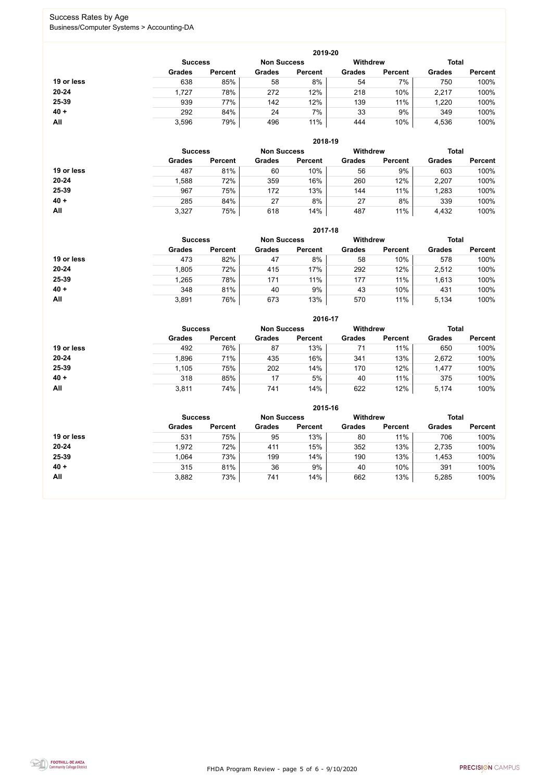FHDA Program Review - page 5 of 6 - 9/10/2020



### Success Rates by Age Business/Computer Systems > Accounting-DA

|            | 2019-20        |                |                                       |                |               |                |               |                |  |
|------------|----------------|----------------|---------------------------------------|----------------|---------------|----------------|---------------|----------------|--|
|            | <b>Success</b> |                | <b>Withdrew</b><br><b>Non Success</b> |                |               |                | <b>Total</b>  |                |  |
|            | <b>Grades</b>  | <b>Percent</b> | <b>Grades</b>                         | <b>Percent</b> | <b>Grades</b> | <b>Percent</b> | <b>Grades</b> | <b>Percent</b> |  |
| 19 or less | 638            | 85%            | 58                                    | 8%             | 54            | 7%             | 750           | 100%           |  |
| $20 - 24$  | 1,727          | 78%            | 272                                   | 12%            | 218           | 10%            | 2,217         | 100%           |  |
| 25-39      | 939            | 77%            | 142                                   | 12%            | 139           | 11%            | 1,220         | 100%           |  |
| $40 +$     | 292            | 84%            | 24                                    | 7%             | 33            | 9%             | 349           | 100%           |  |
| All        | 3,596          | 79%            | 496                                   | 11%            | 444           | 10%            | 4,536         | 100%           |  |

|            | 2018-19        |                    |               |                 |               |                |               |                |  |
|------------|----------------|--------------------|---------------|-----------------|---------------|----------------|---------------|----------------|--|
|            | <b>Success</b> | <b>Non Success</b> |               | <b>Withdrew</b> |               | <b>Total</b>   |               |                |  |
|            | <b>Grades</b>  | <b>Percent</b>     | <b>Grades</b> | <b>Percent</b>  | <b>Grades</b> | <b>Percent</b> | <b>Grades</b> | <b>Percent</b> |  |
| 19 or less | 487            | 81%                | 60            | 10%             | 56            | 9%             | 603           | 100%           |  |
| $20 - 24$  | 1,588          | 72%                | 359           | 16%             | 260           | 12%            | 2,207         | 100%           |  |
| 25-39      | 967            | 75%                | 172           | 13%             | 144           | 11%            | 1,283         | 100%           |  |
| $40 +$     | 285            | 84%                | 27            | 8%              | 27            | 8%             | 339           | 100%           |  |
| All        | 3,327          | 75%                | 618           | 14%             | 487           | 11%            | 4,432         | 100%           |  |

|            | 2017-18                              |                |               |                |                 |                |               |                |  |
|------------|--------------------------------------|----------------|---------------|----------------|-----------------|----------------|---------------|----------------|--|
|            | <b>Non Success</b><br><b>Success</b> |                |               |                | <b>Withdrew</b> |                | <b>Total</b>  |                |  |
|            | <b>Grades</b>                        | <b>Percent</b> | <b>Grades</b> | <b>Percent</b> | <b>Grades</b>   | <b>Percent</b> | <b>Grades</b> | <b>Percent</b> |  |
| 19 or less | 473                                  | 82%            | 47            | 8%             | 58              | 10%            | 578           | 100%           |  |
| $20 - 24$  | 1,805                                | 72%            | 415           | 17%            | 292             | 12%            | 2,512         | 100%           |  |
| 25-39      | .265                                 | 78%            | 171           | 11%            | 177             | 11%            | 1,613         | 100%           |  |
| $40 +$     | 348                                  | 81%            | 40            | 9%             | 43              | 10%            | 431           | 100%           |  |
| All        | 3,891                                | 76%            | 673           | 13%            | 570             | 11%            | 5,134         | 100%           |  |

|            | 2016-17                              |                |               |                |                 |                |               |                |  |
|------------|--------------------------------------|----------------|---------------|----------------|-----------------|----------------|---------------|----------------|--|
|            | <b>Non Success</b><br><b>Success</b> |                |               |                | <b>Withdrew</b> |                | <b>Total</b>  |                |  |
|            | <b>Grades</b>                        | <b>Percent</b> | <b>Grades</b> | <b>Percent</b> | <b>Grades</b>   | <b>Percent</b> | <b>Grades</b> | <b>Percent</b> |  |
| 19 or less | 492                                  | 76%            | 87            | 13%            | 71              | 11%            | 650           | 100%           |  |
| $20 - 24$  | 1,896                                | 71%            | 435           | 16%            | 341             | 13%            | 2,672         | 100%           |  |
| 25-39      | 1,105                                | 75%            | 202           | 14%            | 170             | 12%            | 1,477         | 100%           |  |
| $40 +$     | 318                                  | 85%            | 17            | 5%             | 40              | 11%            | 375           | 100%           |  |
| All        | 3,811                                | 74%            | 741           | 14%            | 622             | 12%            | 5,174         | 100%           |  |

|            | 2015-16                              |                |               |                |                 |                |               |                |  |
|------------|--------------------------------------|----------------|---------------|----------------|-----------------|----------------|---------------|----------------|--|
|            | <b>Non Success</b><br><b>Success</b> |                |               |                | <b>Withdrew</b> |                | <b>Total</b>  |                |  |
|            | <b>Grades</b>                        | <b>Percent</b> | <b>Grades</b> | <b>Percent</b> | <b>Grades</b>   | <b>Percent</b> | <b>Grades</b> | <b>Percent</b> |  |
| 19 or less | 531                                  | 75%            | 95            | 13%            | 80              | 11%            | 706           | 100%           |  |
| $20 - 24$  | 1,972                                | 72%            | 411           | 15%            | 352             | 13%            | 2,735         | 100%           |  |
| 25-39      | 1,064                                | 73%            | 199           | 14%            | 190             | 13%            | 1,453         | 100%           |  |
| $40 +$     | 315                                  | 81%            | 36            | 9%             | 40              | 10%            | 391           | 100%           |  |
| All        | 3,882                                | 73%            | 741           | 14%            | 662             | 13%            | 5,285         | 100%           |  |